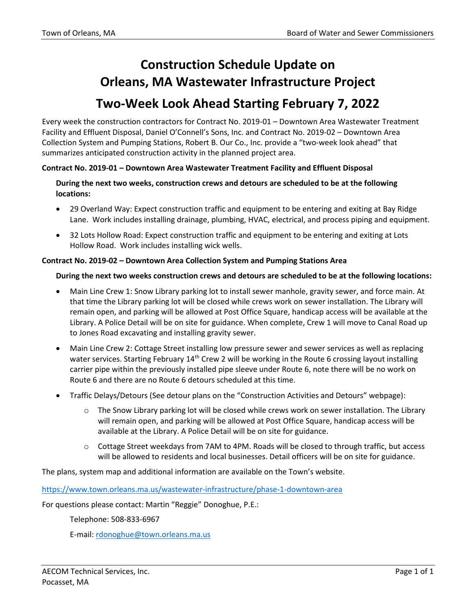## **Construction Schedule Update on Orleans, MA Wastewater Infrastructure Project Two-Week Look Ahead Starting February 7, 2022**

Every week the construction contractors for Contract No. 2019-01 – Downtown Area Wastewater Treatment Facility and Effluent Disposal, Daniel O'Connell's Sons, Inc. and Contract No. 2019-02 – Downtown Area Collection System and Pumping Stations, Robert B. Our Co., Inc. provide a "two-week look ahead" that summarizes anticipated construction activity in the planned project area.

## **Contract No. 2019-01 – Downtown Area Wastewater Treatment Facility and Effluent Disposal**

**During the next two weeks, construction crews and detours are scheduled to be at the following locations:**

- 29 Overland Way: Expect construction traffic and equipment to be entering and exiting at Bay Ridge Lane. Work includes installing drainage, plumbing, HVAC, electrical, and process piping and equipment.
- 32 Lots Hollow Road: Expect construction traffic and equipment to be entering and exiting at Lots Hollow Road. Work includes installing wick wells.

## **Contract No. 2019-02 – Downtown Area Collection System and Pumping Stations Area**

## **During the next two weeks construction crews and detours are scheduled to be at the following locations:**

- Main Line Crew 1: Snow Library parking lot to install sewer manhole, gravity sewer, and force main. At that time the Library parking lot will be closed while crews work on sewer installation. The Library will remain open, and parking will be allowed at Post Office Square, handicap access will be available at the Library. A Police Detail will be on site for guidance. When complete, Crew 1 will move to Canal Road up to Jones Road excavating and installing gravity sewer.
- Main Line Crew 2: Cottage Street installing low pressure sewer and sewer services as well as replacing water services. Starting February 14<sup>th</sup> Crew 2 will be working in the Route 6 crossing layout installing carrier pipe within the previously installed pipe sleeve under Route 6, note there will be no work on Route 6 and there are no Route 6 detours scheduled at this time.
- Traffic Delays/Detours (See detour plans on the "Construction Activities and Detours" webpage):
	- o The Snow Library parking lot will be closed while crews work on sewer installation. The Library will remain open, and parking will be allowed at Post Office Square, handicap access will be available at the Library. A Police Detail will be on site for guidance.
	- $\circ$  Cottage Street weekdays from 7AM to 4PM. Roads will be closed to through traffic, but access will be allowed to residents and local businesses. Detail officers will be on site for guidance.

The plans, system map and additional information are available on the Town's website.

<https://www.town.orleans.ma.us/wastewater-infrastructure/phase-1-downtown-area>

For questions please contact: Martin "Reggie" Donoghue, P.E.:

Telephone: 508-833-6967

E-mail: [rdonoghue@town.orleans.ma.us](mailto:rdonoghue@town.orleans.ma.us)